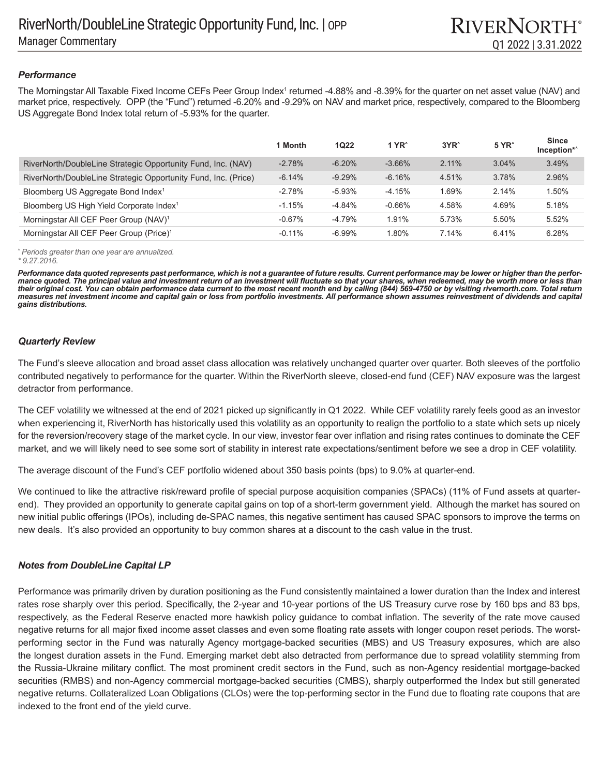## *Performance*

The Morningstar All Taxable Fixed Income CEFs Peer Group Index<sup>1</sup> returned -4.88% and -8.39% for the quarter on net asset value (NAV) and market price, respectively. OPP (the "Fund") returned -6.20% and -9.29% on NAV and market price, respectively, compared to the Bloomberg US Aggregate Bond Index total return of -5.93% for the quarter.

|                                                                | 1 Month   | <b>1Q22</b> | 1 YR $^{\circ}$ | $3YR^{\wedge}$ | 5 YR <sup>^</sup> | <b>Since</b><br>Inception*^ |
|----------------------------------------------------------------|-----------|-------------|-----------------|----------------|-------------------|-----------------------------|
| RiverNorth/DoubleLine Strategic Opportunity Fund, Inc. (NAV)   | $-2.78%$  | $-6.20%$    | $-3.66%$        | 2.11%          | 3.04%             | 3.49%                       |
| RiverNorth/DoubleLine Strategic Opportunity Fund, Inc. (Price) | $-6.14%$  | $-9.29%$    | $-6.16%$        | 4.51%          | 3.78%             | 2.96%                       |
| Bloomberg US Aggregate Bond Index <sup>1</sup>                 | $-2.78%$  | $-5.93%$    | $-4.15%$        | 1.69%          | 2.14%             | 1.50%                       |
| Bloomberg US High Yield Corporate Index <sup>1</sup>           | $-1.15%$  | $-4.84%$    | $-0.66\%$       | 4.58%          | 4.69%             | 5.18%                       |
| Morningstar All CEF Peer Group (NAV) <sup>1</sup>              | $-0.67\%$ | $-4.79%$    | 1.91%           | 5.73%          | 5.50%             | 5.52%                       |
| Morningstar All CEF Peer Group (Price) <sup>1</sup>            | $-0.11\%$ | $-6.99\%$   | 1.80%           | 7.14%          | 6.41%             | 6.28%                       |

*^ Periods greater than one year are annualized. \* 9.27.2016.* 

*Performance data quoted represents past performance, which is not a guarantee of future results. Current performance may be lower or higher than the performance quoted. The principal value and investment return of an investment will fluctuate so that your shares, when redeemed, may be worth more or less than their original cost. You can obtain performance data current to the most recent month end by calling (844) 569-4750 or by visiting rivernorth.com. Total return measures net investment income and capital gain or loss from portfolio investments. All performance shown assumes reinvestment of dividends and capital gains distributions.*

# *Quarterly Review*

The Fund's sleeve allocation and broad asset class allocation was relatively unchanged quarter over quarter. Both sleeves of the portfolio contributed negatively to performance for the quarter. Within the RiverNorth sleeve, closed-end fund (CEF) NAV exposure was the largest detractor from performance.

The CEF volatility we witnessed at the end of 2021 picked up significantly in Q1 2022. While CEF volatility rarely feels good as an investor when experiencing it, RiverNorth has historically used this volatility as an opportunity to realign the portfolio to a state which sets up nicely for the reversion/recovery stage of the market cycle. In our view, investor fear over inflation and rising rates continues to dominate the CEF market, and we will likely need to see some sort of stability in interest rate expectations/sentiment before we see a drop in CEF volatility.

The average discount of the Fund's CEF portfolio widened about 350 basis points (bps) to 9.0% at quarter-end.

We continued to like the attractive risk/reward profile of special purpose acquisition companies (SPACs) (11% of Fund assets at quarterend). They provided an opportunity to generate capital gains on top of a short-term government yield. Although the market has soured on new initial public offerings (IPOs), including de-SPAC names, this negative sentiment has caused SPAC sponsors to improve the terms on new deals. It's also provided an opportunity to buy common shares at a discount to the cash value in the trust.

# *Notes from DoubleLine Capital LP*

Performance was primarily driven by duration positioning as the Fund consistently maintained a lower duration than the Index and interest rates rose sharply over this period. Specifically, the 2-year and 10-year portions of the US Treasury curve rose by 160 bps and 83 bps, respectively, as the Federal Reserve enacted more hawkish policy guidance to combat inflation. The severity of the rate move caused negative returns for all major fixed income asset classes and even some floating rate assets with longer coupon reset periods. The worstperforming sector in the Fund was naturally Agency mortgage-backed securities (MBS) and US Treasury exposures, which are also the longest duration assets in the Fund. Emerging market debt also detracted from performance due to spread volatility stemming from the Russia-Ukraine military conflict. The most prominent credit sectors in the Fund, such as non-Agency residential mortgage-backed securities (RMBS) and non-Agency commercial mortgage-backed securities (CMBS), sharply outperformed the Index but still generated negative returns. Collateralized Loan Obligations (CLOs) were the top-performing sector in the Fund due to floating rate coupons that are indexed to the front end of the yield curve.